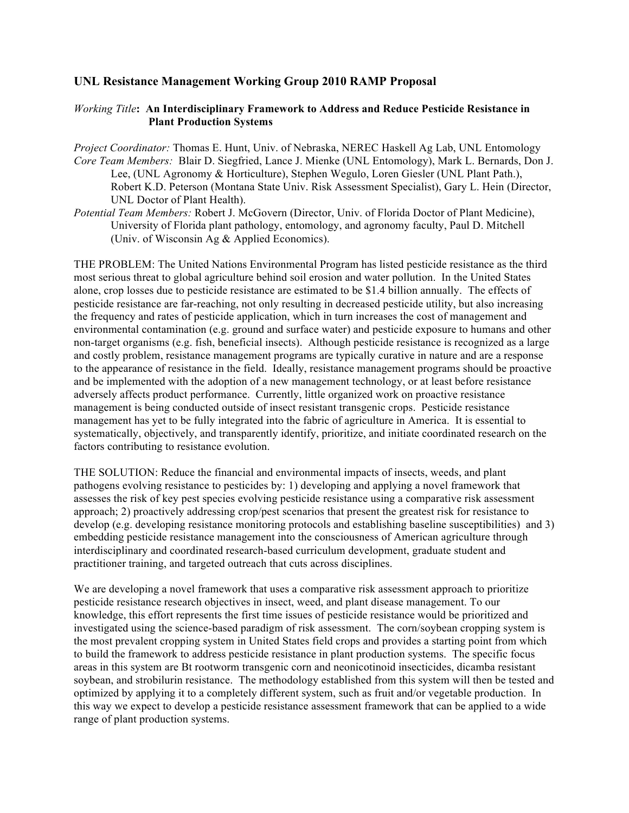## **UNL Resistance Management Working Group 2010 RAMP Proposal**

## *Working Title***: An Interdisciplinary Framework to Address and Reduce Pesticide Resistance in** **Plant Production Systems**

- *Project Coordinator:* Thomas E. Hunt, Univ. of Nebraska, NEREC Haskell Ag Lab, UNL Entomology *Core Team Members:* Blair D. Siegfried, Lance J. Mienke (UNL Entomology), Mark L. Bernards, Don J. Lee, (UNL Agronomy & Horticulture), Stephen Wegulo, Loren Giesler (UNL Plant Path.), Robert K.D. Peterson (Montana State Univ. Risk Assessment Specialist), Gary L. Hein (Director, UNL Doctor of Plant Health).
- *Potential Team Members:* Robert J. McGovern (Director, Univ. of Florida Doctor of Plant Medicine), University of Florida plant pathology, entomology, and agronomy faculty, Paul D. Mitchell (Univ. of Wisconsin Ag & Applied Economics).

THE PROBLEM: The United Nations Environmental Program has listed pesticide resistance as the third most serious threat to global agriculture behind soil erosion and water pollution. In the United States alone, crop losses due to pesticide resistance are estimated to be \$1.4 billion annually. The effects of pesticide resistance are far-reaching, not only resulting in decreased pesticide utility, but also increasing the frequency and rates of pesticide application, which in turn increases the cost of management and environmental contamination (e.g. ground and surface water) and pesticide exposure to humans and other non-target organisms (e.g. fish, beneficial insects). Although pesticide resistance is recognized as a large and costly problem, resistance management programs are typically curative in nature and are a response to the appearance of resistance in the field. Ideally, resistance management programs should be proactive and be implemented with the adoption of a new management technology, or at least before resistance adversely affects product performance. Currently, little organized work on proactive resistance management is being conducted outside of insect resistant transgenic crops. Pesticide resistance management has yet to be fully integrated into the fabric of agriculture in America. It is essential to systematically, objectively, and transparently identify, prioritize, and initiate coordinated research on the factors contributing to resistance evolution.

THE SOLUTION: Reduce the financial and environmental impacts of insects, weeds, and plant pathogens evolving resistance to pesticides by: 1) developing and applying a novel framework that assesses the risk of key pest species evolving pesticide resistance using a comparative risk assessment approach; 2) proactively addressing crop/pest scenarios that present the greatest risk for resistance to develop (e.g. developing resistance monitoring protocols and establishing baseline susceptibilities) and 3) embedding pesticide resistance management into the consciousness of American agriculture through interdisciplinary and coordinated research-based curriculum development, graduate student and practitioner training, and targeted outreach that cuts across disciplines.

We are developing a novel framework that uses a comparative risk assessment approach to prioritize pesticide resistance research objectives in insect, weed, and plant disease management. To our knowledge, this effort represents the first time issues of pesticide resistance would be prioritized and investigated using the science-based paradigm of risk assessment. The corn/soybean cropping system is the most prevalent cropping system in United States field crops and provides a starting point from which to build the framework to address pesticide resistance in plant production systems. The specific focus areas in this system are Bt rootworm transgenic corn and neonicotinoid insecticides, dicamba resistant soybean, and strobilurin resistance. The methodology established from this system will then be tested and optimized by applying it to a completely different system, such as fruit and/or vegetable production. In this way we expect to develop a pesticide resistance assessment framework that can be applied to a wide range of plant production systems.